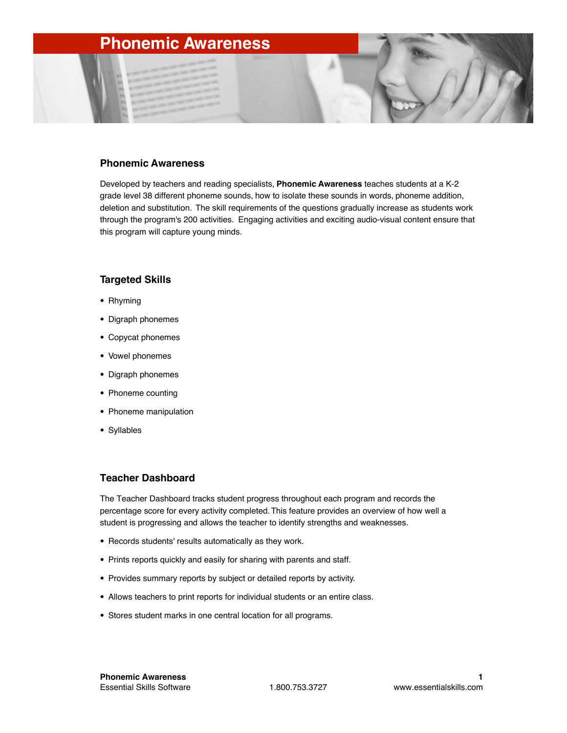# **Phonemic Awareness**

#### **Phonemic Awareness**

Developed by teachers and reading specialists, **Phonemic Awareness** teaches students at a K-2 grade level 38 different phoneme sounds, how to isolate these sounds in words, phoneme addition, deletion and substitution. The skill requirements of the questions gradually increase as students work through the program's 200 activities. Engaging activities and exciting audio-visual content ensure that this program will capture young minds.

### **Targeted Skills**

- Rhyming
- Digraph phonemes
- Copycat phonemes
- Vowel phonemes
- Digraph phonemes
- Phoneme counting
- Phoneme manipulation
- Syllables

### **Teacher Dashboard**

The Teacher Dashboard tracks student progress throughout each program and records the percentage score for every activity completed. This feature provides an overview of how well a student is progressing and allows the teacher to identify strengths and weaknesses.

- Records students' results automatically as they work.
- Prints reports quickly and easily for sharing with parents and staff.
- Provides summary reports by subject or detailed reports by activity.
- Allows teachers to print reports for individual students or an entire class.
- Stores student marks in one central location for all programs.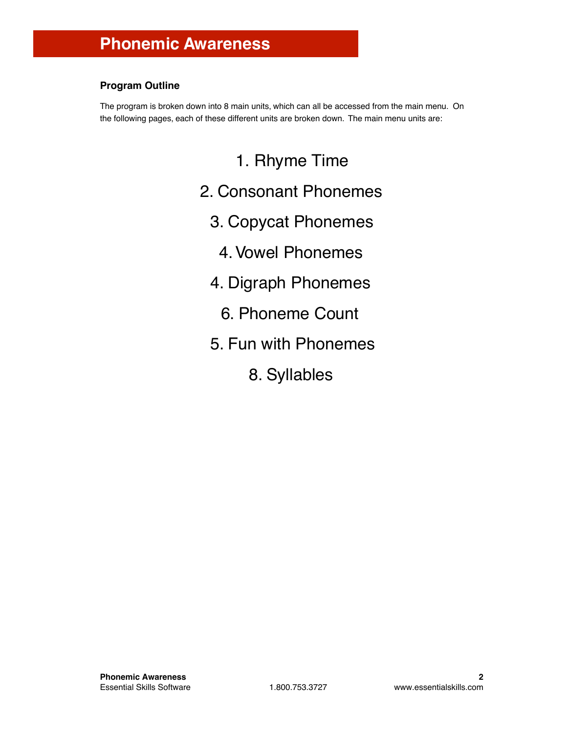## **Program Outline**

The program is broken down into 8 main units, which can all be accessed from the main menu. On the following pages, each of these different units are broken down. The main menu units are:

- 1. Rhyme Time 2. Consonant Phonemes 3. Copycat Phonemes 4.Vowel Phonemes 4. Digraph Phonemes 6. Phoneme Count 5. Fun with Phonemes
	- 8. Syllables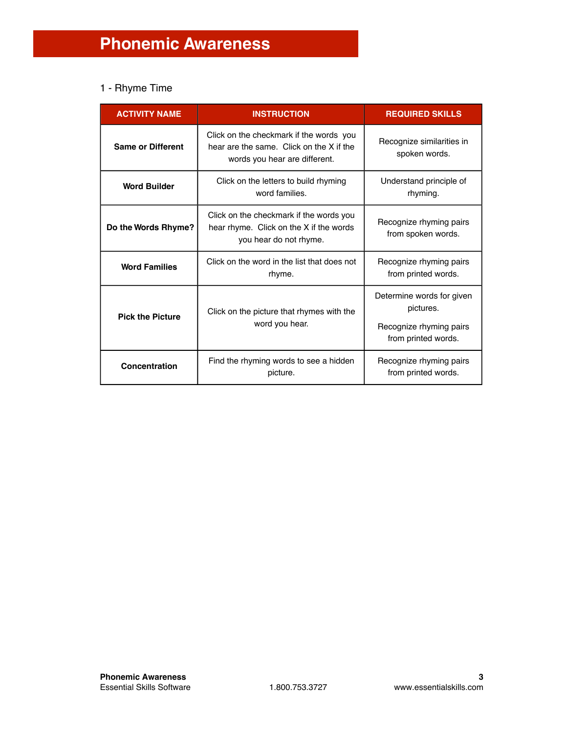## 1 - Rhyme Time

| <b>ACTIVITY NAME</b>     | <b>INSTRUCTION</b>                                                                                                   | <b>REQUIRED SKILLS</b>                                                                   |
|--------------------------|----------------------------------------------------------------------------------------------------------------------|------------------------------------------------------------------------------------------|
| <b>Same or Different</b> | Click on the checkmark if the words you<br>hear are the same. Click on the X if the<br>words you hear are different. | Recognize similarities in<br>spoken words.                                               |
| <b>Word Builder</b>      | Click on the letters to build rhyming<br>word families.                                                              | Understand principle of<br>rhyming.                                                      |
| Do the Words Rhyme?      | Click on the checkmark if the words you<br>hear rhyme. Click on the X if the words<br>you hear do not rhyme.         | Recognize rhyming pairs<br>from spoken words.                                            |
| <b>Word Families</b>     | Click on the word in the list that does not<br>rhyme.                                                                | Recognize rhyming pairs<br>from printed words.                                           |
| <b>Pick the Picture</b>  | Click on the picture that rhymes with the<br>word you hear.                                                          | Determine words for given<br>pictures.<br>Recognize rhyming pairs<br>from printed words. |
| Concentration            | Find the rhyming words to see a hidden<br>picture.                                                                   | Recognize rhyming pairs<br>from printed words.                                           |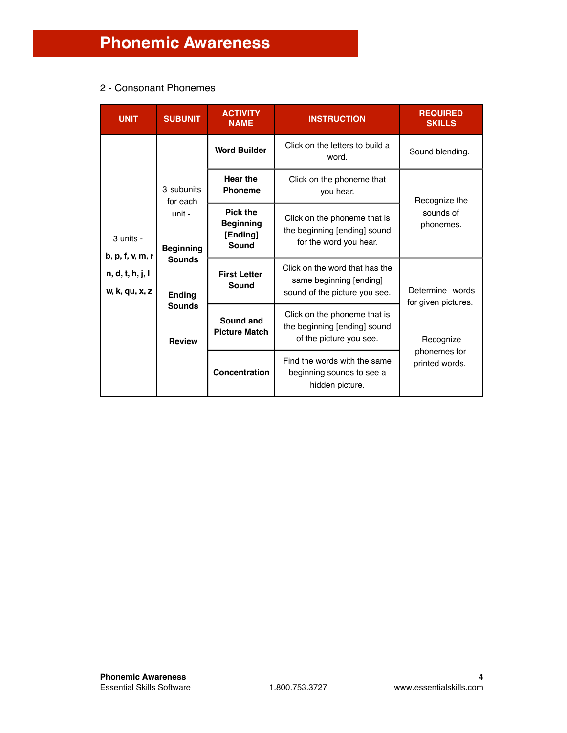## 2 - Consonant Phonemes

| <b>UNIT</b>                                                         | <b>SUBUNIT</b>                                                                                                           | <b>ACTIVITY</b><br><b>NAME</b>    | <b>INSTRUCTION</b>                                                                      | <b>REQUIRED</b><br><b>SKILLS</b>                                                           |                                        |
|---------------------------------------------------------------------|--------------------------------------------------------------------------------------------------------------------------|-----------------------------------|-----------------------------------------------------------------------------------------|--------------------------------------------------------------------------------------------|----------------------------------------|
| 3 units -<br>b, p, f, v, m, r<br>n, d, t, h, j, l<br>w, k, qu, x, z | 3 subunits<br>for each<br>unit -<br><b>Beginning</b><br><b>Sounds</b><br><b>Ending</b><br><b>Sounds</b><br><b>Review</b> | <b>Word Builder</b>               | Click on the letters to build a<br>word.                                                | Sound blending.                                                                            |                                        |
|                                                                     |                                                                                                                          |                                   | <b>Hear the</b><br><b>Phoneme</b>                                                       | Click on the phoneme that<br>you hear.                                                     | Recognize the                          |
|                                                                     |                                                                                                                          |                                   | Pick the<br><b>Beginning</b><br>[Ending]<br>Sound                                       | Click on the phoneme that is<br>the beginning [ending] sound<br>for the word you hear.     | sounds of<br>phonemes.                 |
|                                                                     |                                                                                                                          |                                   | <b>First Letter</b><br>Sound                                                            | Click on the word that has the<br>same beginning [ending]<br>sound of the picture you see. | Determine words<br>for given pictures. |
|                                                                     |                                                                                                                          | Sound and<br><b>Picture Match</b> | Click on the phoneme that is<br>the beginning [ending] sound<br>of the picture you see. | Recognize                                                                                  |                                        |
|                                                                     |                                                                                                                          | Concentration                     | Find the words with the same<br>beginning sounds to see a<br>hidden picture.            | phonemes for<br>printed words.                                                             |                                        |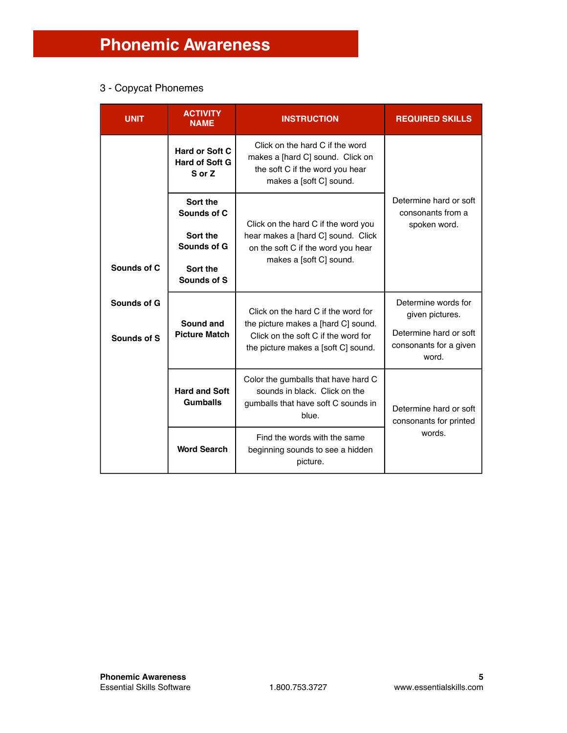# 3 - Copycat Phonemes

| <b>UNIT</b>                | <b>ACTIVITY</b><br><b>NAME</b>                                                | <b>INSTRUCTION</b>                                                                                                                                       | <b>REQUIRED SKILLS</b>                                                                              |
|----------------------------|-------------------------------------------------------------------------------|----------------------------------------------------------------------------------------------------------------------------------------------------------|-----------------------------------------------------------------------------------------------------|
|                            | Hard or Soft C<br><b>Hard of Soft G</b><br>S or Z                             | Click on the hard C if the word<br>makes a [hard C] sound. Click on<br>the soft C if the word you hear<br>makes a [soft C] sound.                        |                                                                                                     |
| Sounds of C                | Sort the<br>Sounds of C<br>Sort the<br>Sounds of G<br>Sort the<br>Sounds of S | Click on the hard C if the word you<br>hear makes a [hard C] sound. Click<br>on the soft C if the word you hear<br>makes a [soft C] sound.               | Determine hard or soft<br>consonants from a<br>spoken word.                                         |
| Sounds of G<br>Sounds of S | Sound and<br><b>Picture Match</b>                                             | Click on the hard C if the word for<br>the picture makes a [hard C] sound.<br>Click on the soft C if the word for<br>the picture makes a [soft C] sound. | Determine words for<br>given pictures.<br>Determine hard or soft<br>consonants for a given<br>word. |
|                            | <b>Hard and Soft</b><br><b>Gumballs</b><br><b>Word Search</b>                 | Color the gumballs that have hard C<br>sounds in black. Click on the<br>gumballs that have soft C sounds in<br>blue.                                     | Determine hard or soft<br>consonants for printed                                                    |
|                            |                                                                               | Find the words with the same<br>beginning sounds to see a hidden<br>picture.                                                                             | words.                                                                                              |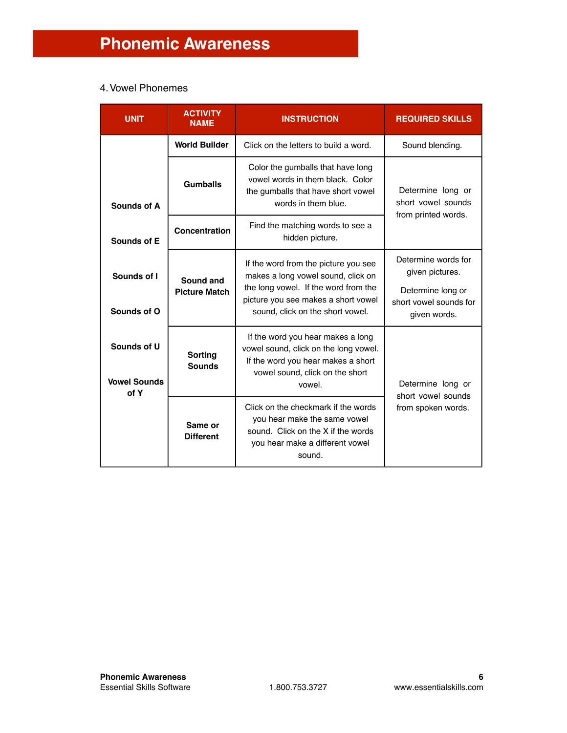# 4. Vowel Phonemes

| <b>UNIT</b>                                | <b>ACTIVITY</b><br><b>NAME</b>    | <b>INSTRUCTION</b>                                                                                                                                                                            | <b>REQUIRED SKILLS</b>                                                                                |
|--------------------------------------------|-----------------------------------|-----------------------------------------------------------------------------------------------------------------------------------------------------------------------------------------------|-------------------------------------------------------------------------------------------------------|
|                                            | <b>World Builder</b>              | Click on the letters to build a word.                                                                                                                                                         | Sound blending.                                                                                       |
| <b>Sounds of A</b>                         | Gumballs                          | Color the gumballs that have long<br>vowel words in them black. Color<br>the gumballs that have short vowel<br>words in them blue.                                                            | Determine long or<br>short vowel sounds<br>from printed words.                                        |
| Sounds of E                                | Concentration                     | Find the matching words to see a<br>hidden picture.                                                                                                                                           |                                                                                                       |
| Sounds of I<br>Sounds of O                 | Sound and<br><b>Picture Match</b> | If the word from the picture you see<br>makes a long vowel sound, click on<br>the long vowel. If the word from the<br>picture you see makes a short vowel<br>sound, click on the short vowel. | Determine words for<br>given pictures.<br>Determine long or<br>short vowel sounds for<br>given words. |
| Sounds of U<br><b>Vowel Sounds</b><br>of Y | <b>Sorting</b><br><b>Sounds</b>   | If the word you hear makes a long<br>vowel sound, click on the long vowel.<br>If the word you hear makes a short<br>vowel sound, click on the short<br>vowel.                                 | Determine long or<br>short vowel sounds                                                               |
|                                            | Same or<br><b>Different</b>       | Click on the checkmark if the words<br>you hear make the same vowel<br>sound. Click on the X if the words<br>you hear make a different vowel<br>sound.                                        | from spoken words.                                                                                    |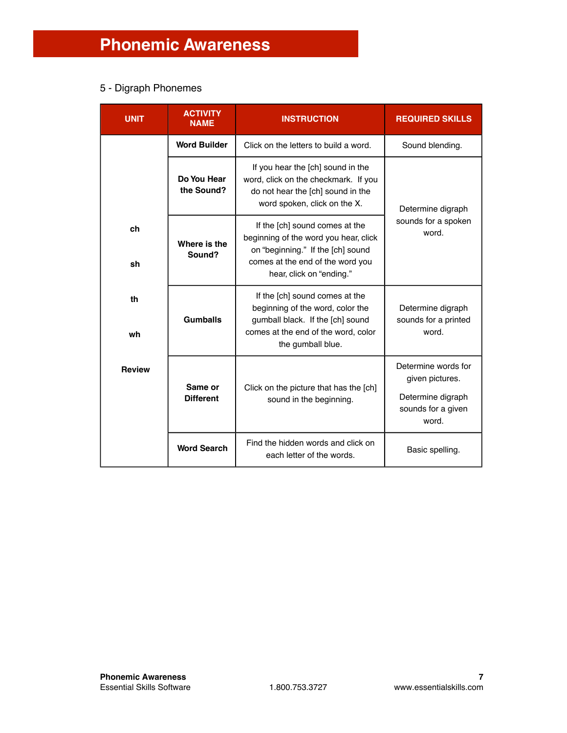## 5 - Digraph Phonemes

| <b>UNIT</b>   | <b>ACTIVITY</b><br><b>NAME</b> | <b>INSTRUCTION</b>                                                                                                                                                           | <b>REQUIRED SKILLS</b>                                                                     |
|---------------|--------------------------------|------------------------------------------------------------------------------------------------------------------------------------------------------------------------------|--------------------------------------------------------------------------------------------|
|               | <b>Word Builder</b>            | Click on the letters to build a word.                                                                                                                                        | Sound blending.                                                                            |
|               | Do You Hear<br>the Sound?      | If you hear the [ch] sound in the<br>word, click on the checkmark. If you<br>do not hear the [ch] sound in the<br>word spoken, click on the X.                               | Determine digraph                                                                          |
| ch<br>sh      | Where is the<br>Sound?         | If the [ch] sound comes at the<br>beginning of the word you hear, click<br>on "beginning." If the [ch] sound<br>comes at the end of the word you<br>hear, click on "ending." | sounds for a spoken<br>word.                                                               |
| th<br>wh      | <b>Gumballs</b>                | If the [ch] sound comes at the<br>beginning of the word, color the<br>gumball black. If the [ch] sound<br>comes at the end of the word, color<br>the gumball blue.           | Determine digraph<br>sounds for a printed<br>word.                                         |
| <b>Review</b> | Same or<br><b>Different</b>    | Click on the picture that has the [ch]<br>sound in the beginning.                                                                                                            | Determine words for<br>given pictures.<br>Determine digraph<br>sounds for a given<br>word. |
|               | <b>Word Search</b>             | Find the hidden words and click on<br>each letter of the words.                                                                                                              | Basic spelling.                                                                            |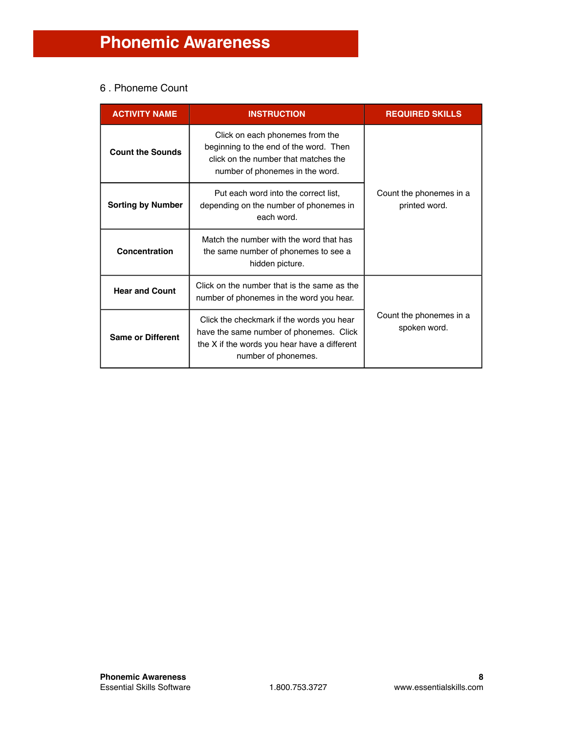## 6 . Phoneme Count

| <b>ACTIVITY NAME</b>     | <b>INSTRUCTION</b>                                                                                                                                          | <b>REQUIRED SKILLS</b>                   |
|--------------------------|-------------------------------------------------------------------------------------------------------------------------------------------------------------|------------------------------------------|
| <b>Count the Sounds</b>  | Click on each phonemes from the<br>beginning to the end of the word. Then<br>click on the number that matches the<br>number of phonemes in the word.        |                                          |
| <b>Sorting by Number</b> | Put each word into the correct list,<br>depending on the number of phonemes in<br>each word.                                                                | Count the phonemes in a<br>printed word. |
| Concentration            | Match the number with the word that has<br>the same number of phonemes to see a<br>hidden picture.                                                          |                                          |
| <b>Hear and Count</b>    | Click on the number that is the same as the<br>number of phonemes in the word you hear.                                                                     |                                          |
| <b>Same or Different</b> | Click the checkmark if the words you hear<br>have the same number of phonemes. Click<br>the X if the words you hear have a different<br>number of phonemes. | Count the phonemes in a<br>spoken word.  |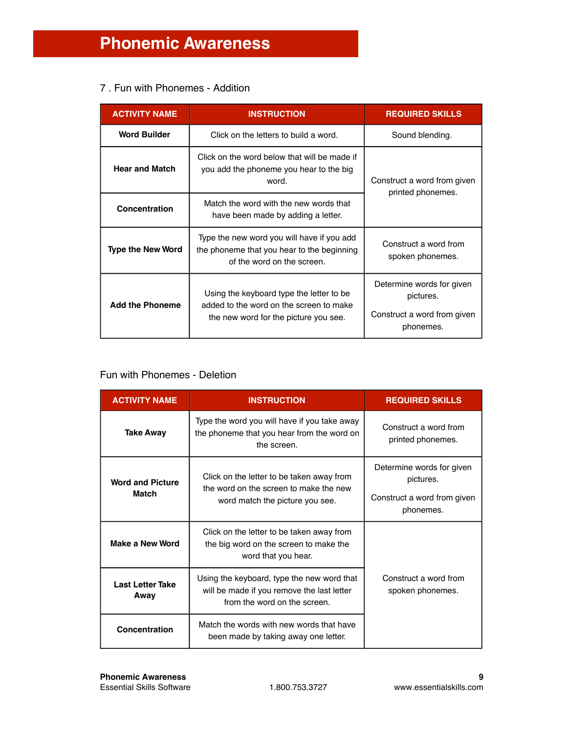## 7 . Fun with Phonemes - Addition

| <b>ACTIVITY NAME</b>     | <b>INSTRUCTION</b>                                                                                                           | <b>REQUIRED SKILLS</b>                                                             |  |
|--------------------------|------------------------------------------------------------------------------------------------------------------------------|------------------------------------------------------------------------------------|--|
| <b>Word Builder</b>      | Click on the letters to build a word.                                                                                        | Sound blending.                                                                    |  |
| <b>Hear and Match</b>    | Click on the word below that will be made if<br>you add the phoneme you hear to the big<br>word.                             | Construct a word from given                                                        |  |
| Concentration            | Match the word with the new words that<br>have been made by adding a letter.                                                 | printed phonemes.                                                                  |  |
| <b>Type the New Word</b> | Type the new word you will have if you add<br>the phoneme that you hear to the beginning<br>of the word on the screen.       | Construct a word from<br>spoken phonemes.                                          |  |
| <b>Add the Phoneme</b>   | Using the keyboard type the letter to be<br>added to the word on the screen to make<br>the new word for the picture you see. | Determine words for given<br>pictures.<br>Construct a word from given<br>phonemes. |  |

## Fun with Phonemes - Deletion

| <b>ACTIVITY NAME</b>                    | <b>INSTRUCTION</b>                                                                                                       | <b>REQUIRED SKILLS</b>                                                             |
|-----------------------------------------|--------------------------------------------------------------------------------------------------------------------------|------------------------------------------------------------------------------------|
| <b>Take Away</b>                        | Type the word you will have if you take away<br>the phoneme that you hear from the word on<br>the screen.                | Construct a word from<br>printed phonemes.                                         |
| <b>Word and Picture</b><br><b>Match</b> | Click on the letter to be taken away from<br>the word on the screen to make the new<br>word match the picture you see.   | Determine words for given<br>pictures.<br>Construct a word from given<br>phonemes. |
| Make a New Word                         | Click on the letter to be taken away from<br>the big word on the screen to make the<br>word that you hear.               |                                                                                    |
| <b>Last Letter Take</b><br>Away         | Using the keyboard, type the new word that<br>will be made if you remove the last letter<br>from the word on the screen. | Construct a word from<br>spoken phonemes.                                          |
| Concentration                           | Match the words with new words that have<br>been made by taking away one letter.                                         |                                                                                    |